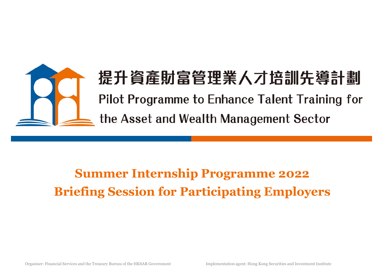

# **FET 真産別畠官理耒ハノ培訓先導**<br>Pilot Programme to Enhance Talent Training<br>the Asset and Wealth Management Sector<br>Summer Internship Programme 2022<br>Briefing Session for Participating Employers

### Summer Internship Programme 2022<br>Briefing Session for Participating Employers<br>Corganiser: Financial Services and the Treasury Bureau of the HKSAR Government Implementation agent: Hong Kong Securities and Investment Institu Summer Internship Programme 2022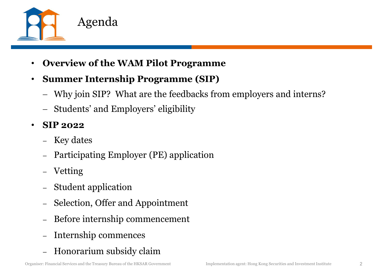

- Overview of the WAM Pilot Programme
- Summer Internship Programme (SIP)
	- Why join SIP? What are the feedbacks from employers and interns?
	- Students' and Employers' eligibility
- SIP 2022
	- Key dates
- Participating Employer (PE) application<br>- Vetting<br>- Student application<br>- Selection, Offer and Appointment<br>- Before internship commencement<br>- Internship commences<br>- Honorarium subsidy claim<br>- Implementation agent: Hong K – Participating Employer (PE) application
	- Vetting
	-
	- Student application Selection, Offer and Appointment
	- Before internship commencement
	- Internship commences
	- Honorarium subsidy claim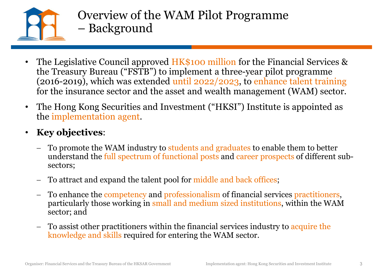

- Overview of the WAM Pilot Programme Overview of the WAM Pilot Pr<br>- Background<br>ative Council approved WAA pool million
- The Legislative Council approved HK\$100 million for the Financial Services & the Treasury Bureau ("FSTB") to implement a three-year pilot programme (2016-2019), which was extended until 2022/2023, to enhance talent training for the insurance sector and the asset and wealth management (WAM) sector.
- The Hong Kong Securities and Investment ("HKSI") Institute is appointed as the implementation agent.
- Key objectives:
	- To promote the WAM industry to students and graduates to enable them to better understand the full spectrum of functional posts and career prospects of different subsectors;
	- To attract and expand the talent pool for middle and back offices;
- To promote the WAM industry to students and graduates to enable them to better<br>understand the full spectrum of functional posts and career prospects of different sub-<br>sectors;<br>
To attract and expand the talent pool for mid To enhance the competency and professionalism of financial services practitioners, particularly those working in small and medium sized institutions, within the WAM sector; and
	- To assist other practitioners within the financial services industry to acquire the knowledge and skills required for entering the WAM sector.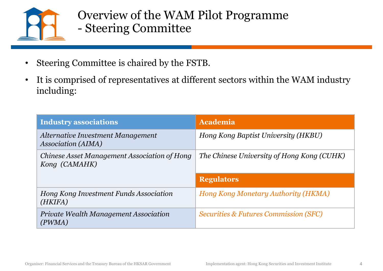

### Overview of the WAM Pilot Programme Overview of the WAM Pilot Progra<br>- Steering Committee

- Steering Committee is chaired by the FSTB.
- It is comprised of representatives at different sectors within the WAM industry including:

| Overview of the WAM Pilot Programme<br>- Steering Committee                                                                                     |                                                                     |
|-------------------------------------------------------------------------------------------------------------------------------------------------|---------------------------------------------------------------------|
| • Steering Committee is chaired by the FSTB.<br>• It is comprised of representatives at different sectors within the WAM industry<br>including: |                                                                     |
| <b>Industry associations</b>                                                                                                                    | <b>Academia</b>                                                     |
| Alternative Investment Management<br><b>Association (AIMA)</b>                                                                                  | Hong Kong Baptist University (HKBU)                                 |
| Chinese Asset Management Association of Hong<br>Kong (CAMAHK)                                                                                   | The Chinese University of Hong Kong (CUHK)                          |
|                                                                                                                                                 | <b>Regulators</b>                                                   |
| Hong Kong Investment Funds Association<br>(HKIFA)                                                                                               | Hong Kong Monetary Authority (HKMA)                                 |
| <b>Private Wealth Management Association</b><br>(PWMA)                                                                                          | <i>Securities &amp; Futures Commission (SFC)</i>                    |
|                                                                                                                                                 |                                                                     |
|                                                                                                                                                 | Implementation agent: Hong Kong Securities and Investment Institute |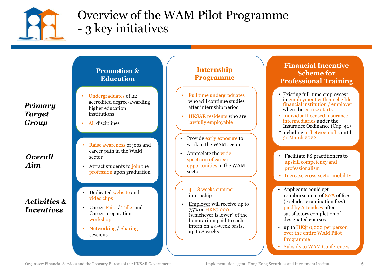

### Overview of the WAM Pilot Programme Overview of the WAM Pilot P:<br>- 3 key initiatives

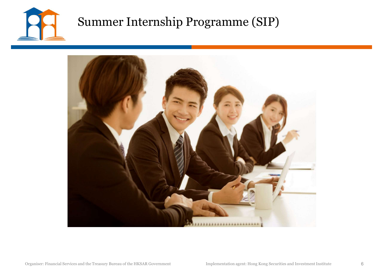

### Summer Internship Programme (SIP)

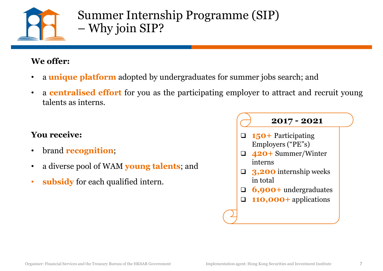

### Summer Internship Programme (SIP) Summer Internship Programn<br>– Why join SIP? Summer Internship Pr<br>
– Why join SIP?<br>
We offer:<br>
• a unique platform adopted by undergrad Summer Internship Program<br>
- Why join SIP?<br>
- offer:<br>
a unique platform adopted by undergraduates for<br>
a centralised effort for you as the participating<br>
talents as interns.

- 
- Why join SIP?<br>
 Why join SIP?<br>
 a unique platform adopted by undergraduates for summer jobs search; and<br>
 a centralised effort for you as the participating employer to attract and recruit young<br>
talents as interns. Summer Internship Programme (SIP)<br>
– Why join SIP?<br>
We offer:<br>
• a unique platform adopted by undergraduates for summer jobs search; and<br>
• a centralised effort for you as the participating employer to attract and recruit We offer:<br>  $\bullet$  Why join SIP?<br>
We offer:<br>  $\bullet$  a unique platform adopted by undergraduced a contralised effort for you as the particular<br>
stalents as interns.<br>
You receive:<br>  $\bullet$  brand recognition;

- brand **recognition**;
- 
- 

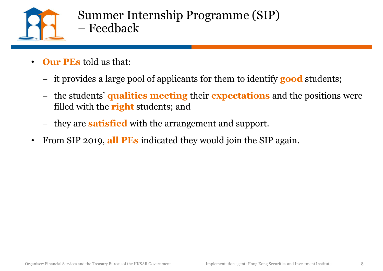

- Summer Internship Programme (SIP) – Feedback
- **Our PEs told us that:** 
	- it provides a large pool of applicants for them to identify **good** students;
	- the students' qualities meeting their expectations and the positions were filled with the **right** students; and
	- they are **satisfied** with the arrangement and support.
- From SIP 2019, all PEs indicated they would join the SIP again.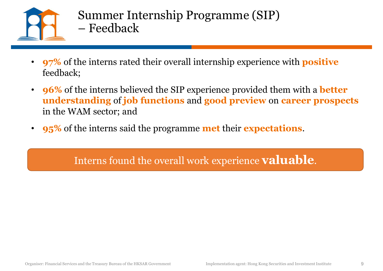

- Summer Internship Programme (SIP) – Feedback
- 97% of the interns rated their overall internship experience with positive feedback;
- 96% of the interns believed the SIP experience provided them with a **better** understanding of job functions and good preview on career prospects in the WAM sector; and
- **95%** of the interns said the programme **met** their **expectations**.

Organiser: Financial Services and the Treasury Bureau of the HKSAR Government Implementation agent: Hong Kong Securities and Investment Institute Interns found the overall work experience **valuable**.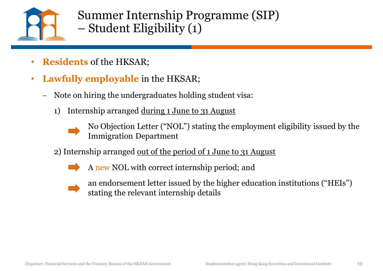

Summer Internship Programme (SIP) Summer Internship Programme<br>– Student Eligibility (1)<br>– 1) Internship Programme (SIP)<br>
- Student Eligibility (1)<br>
- Student Eligibility (1)<br>
- Students of the HKSAR;<br>
Note on hiring the undergraduates holding student visa:<br>
1) Internship arranged <u>during 1 June to 31 August</u><br>

- **Residents** of the HKSAR;
- Lawfully employable in the HKSAR;
	- Note on hiring the undergraduates holding student visa:
		-



No Objection Letter ("NOL") stating the employment eligibility issued by the Immigration Department

2) Internship arranged <u>out of the period of 1 June to 31 August</u>



A new NOL with correct internship period; and



2) Internship arranged <u>out of the period of 1 June to 31 August</u><br>
A new NOL with correct internship period; and<br>
an endorsement letter issued by the higher education institutions ("HEIs")<br>
stating the relevant internship an endorsement letter issued by the higher education institutions ("HEIs") stating the relevant internship details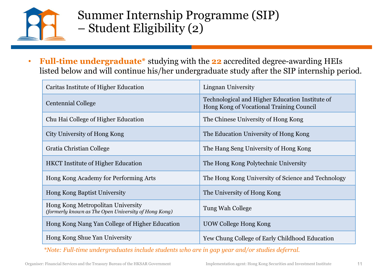

# Summer Internship Programme (SIP) Summer Internship Programme<br>
– Student Eligibility (2)<br>
– Program duate<sup>\*</sup> studying with the 20 esemplity

| <b>Full-time undergraduate</b> * studying with the <b>22</b> accredited degree-awarding HEIs<br>listed below and will continue his/her undergraduate study after the SIP internship period.<br>Caritas Institute of Higher Education<br>Lingnan University<br>Technological and Higher Education Institute of<br><b>Centennial College</b><br>Hong Kong of Vocational Training Council<br>Chu Hai College of Higher Education<br>The Chinese University of Hong Kong<br>City University of Hong Kong<br>The Education University of Hong Kong<br>Gratia Christian College<br>The Hang Seng University of Hong Kong<br><b>HKCT</b> Institute of Higher Education<br>The Hong Kong Polytechnic University<br>Hong Kong Academy for Performing Arts<br>The Hong Kong University of Science and Technology<br>Hong Kong Baptist University<br>The University of Hong Kong<br>Hong Kong Metropolitan University<br>Tung Wah College<br>(formerly known as The Open University of Hong Kong)<br>Hong Kong Nang Yan College of Higher Education<br><b>UOW College Hong Kong</b><br>Hong Kong Shue Yan University<br>Yew Chung College of Early Childhood Education<br>*Note: Full-time undergraduates include students who are in gap year and/or studies deferral.<br>Implementation agent: Hong Kong Securities and Investment Institute<br>11 | Summer Internship Programme (SIP)<br>- Student Eligibility (2) |  |
|-------------------------------------------------------------------------------------------------------------------------------------------------------------------------------------------------------------------------------------------------------------------------------------------------------------------------------------------------------------------------------------------------------------------------------------------------------------------------------------------------------------------------------------------------------------------------------------------------------------------------------------------------------------------------------------------------------------------------------------------------------------------------------------------------------------------------------------------------------------------------------------------------------------------------------------------------------------------------------------------------------------------------------------------------------------------------------------------------------------------------------------------------------------------------------------------------------------------------------------------------------------------------------------------------------------------------------------------|----------------------------------------------------------------|--|
|                                                                                                                                                                                                                                                                                                                                                                                                                                                                                                                                                                                                                                                                                                                                                                                                                                                                                                                                                                                                                                                                                                                                                                                                                                                                                                                                           |                                                                |  |
|                                                                                                                                                                                                                                                                                                                                                                                                                                                                                                                                                                                                                                                                                                                                                                                                                                                                                                                                                                                                                                                                                                                                                                                                                                                                                                                                           |                                                                |  |
|                                                                                                                                                                                                                                                                                                                                                                                                                                                                                                                                                                                                                                                                                                                                                                                                                                                                                                                                                                                                                                                                                                                                                                                                                                                                                                                                           |                                                                |  |
|                                                                                                                                                                                                                                                                                                                                                                                                                                                                                                                                                                                                                                                                                                                                                                                                                                                                                                                                                                                                                                                                                                                                                                                                                                                                                                                                           |                                                                |  |
|                                                                                                                                                                                                                                                                                                                                                                                                                                                                                                                                                                                                                                                                                                                                                                                                                                                                                                                                                                                                                                                                                                                                                                                                                                                                                                                                           |                                                                |  |
|                                                                                                                                                                                                                                                                                                                                                                                                                                                                                                                                                                                                                                                                                                                                                                                                                                                                                                                                                                                                                                                                                                                                                                                                                                                                                                                                           |                                                                |  |
|                                                                                                                                                                                                                                                                                                                                                                                                                                                                                                                                                                                                                                                                                                                                                                                                                                                                                                                                                                                                                                                                                                                                                                                                                                                                                                                                           |                                                                |  |
|                                                                                                                                                                                                                                                                                                                                                                                                                                                                                                                                                                                                                                                                                                                                                                                                                                                                                                                                                                                                                                                                                                                                                                                                                                                                                                                                           |                                                                |  |
|                                                                                                                                                                                                                                                                                                                                                                                                                                                                                                                                                                                                                                                                                                                                                                                                                                                                                                                                                                                                                                                                                                                                                                                                                                                                                                                                           |                                                                |  |
|                                                                                                                                                                                                                                                                                                                                                                                                                                                                                                                                                                                                                                                                                                                                                                                                                                                                                                                                                                                                                                                                                                                                                                                                                                                                                                                                           |                                                                |  |
|                                                                                                                                                                                                                                                                                                                                                                                                                                                                                                                                                                                                                                                                                                                                                                                                                                                                                                                                                                                                                                                                                                                                                                                                                                                                                                                                           |                                                                |  |
|                                                                                                                                                                                                                                                                                                                                                                                                                                                                                                                                                                                                                                                                                                                                                                                                                                                                                                                                                                                                                                                                                                                                                                                                                                                                                                                                           |                                                                |  |
| Organiser: Financial Services and the Treasury Bureau of the HKSAR Government                                                                                                                                                                                                                                                                                                                                                                                                                                                                                                                                                                                                                                                                                                                                                                                                                                                                                                                                                                                                                                                                                                                                                                                                                                                             |                                                                |  |
|                                                                                                                                                                                                                                                                                                                                                                                                                                                                                                                                                                                                                                                                                                                                                                                                                                                                                                                                                                                                                                                                                                                                                                                                                                                                                                                                           |                                                                |  |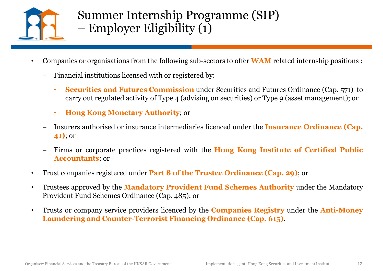

### Summer Internship Programme (SIP)<br>– Employer Eligibility (1) Summer Internship Programme (S<br>
– Employer Eligibility (1)<br>
or organisations from the following sub-sectors to offer WA Summer Internship Programme (SIP)<br>
- Employer Eligibility (1)<br>
- Companies or organisations from the following sub-sectors to offer WAM related internship positions :<br>
- Financial institutions licensed with or registered b **Summer Internship Programme (SIP)**<br>
— Employer Eligibility (1)<br>
mies or organisations from the following sub-sectors to offer **WAM** related internship positions :<br> **Securities and Futures Commission** under Securities and • Employer Eligibility (1)<br>
• Employer Eligibility (1)<br>
• Companies or organisations from the following sub-sectors to offer WAM related internship positions :<br>
• Financial institutions licenced with or registered by:<br>
•

- - -
		-
- -<br>
 Employer Eligibility (1)<br>
 Employer Eligibility (1)<br>
 Financial institutions licensed with or registered by:<br>
 Financial institutions licensed with or registered by:<br>
 Securities and Futures Commission under Secur manter or organisations from the following sub-sectors to offer<br>
Financial institutions licensed with or registered by:<br> **Securities and Futures Commission** under Securities a<br>
carry out regulated activity of Type 4 (advis • Companies or organisations from the following sub-sectors to offer WAM related internship positions :<br>
• Financial institutions licensed with or registered by:<br>
• Securities and Futures Commission under Securities and Fu • Financial institutions licensed with or registered by:<br>
• Securities and Futures Commission under Securities and Futures Ordinance (Cap. 571) to<br>
carry out regulated activity of Type 4 (advising on securities) or Type 9 Provident Fund Schemes Ordinance (Cap. 485); or **EXECUTE 2018 INTERTM ANTERTM AND SET AND MORE THE INSURANCE CAP.**<br> **EXECUTE:** IN: OT<br>
Trust companies registered under Part 8 of the Hong Kong Institute of Certified Public<br> **Accountants**; or<br>
Trust companies registered u
	-
- 
- 
- Firms or corporate practices registered with the **Hong Kong Institute of Certified Public Accountants**; or<br>
 Trust companies registered under **Part 8 of the Trustee Ordinance (Cap. 29)**; or<br>
 Trustees approved by the carry out regulated activity of Type 4 (advising on securities) or Type 9 (asset management); or<br>
• Hong Kong Monetary Authority; or<br>
• Insurers authorised or insurance intermediaries licenced under the Insurance Ordinanc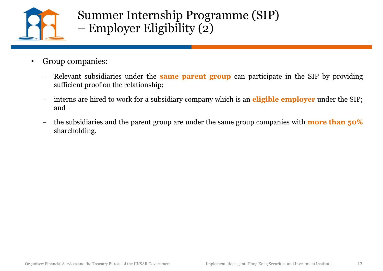

### Summer Internship Programme (SIP) Summer Internship Programme (S)<br>– Employer Eligibility (2)<br>menissi • Group companies:<br>
• Group companies:<br>
• Relevant subsidiaries under the **same parent group** can participate in the SIP by providing<br>
<sub>sufficient proof on the relationship;<br>
– interns are hired to work for a subsidiary co</sub> Summer Internship Programme (SIP)<br>
- Employer Eligibility (2)<br>
Group companies:<br>
- Relevant subsidiaries under the **same parent group** can participate in the SIP by providing<br>
sufficient proof on the relationship;<br>
- inte Summer Internship Programme (SIP)<br>
- Employer Eligibility (2)<br>
Group companies:<br>
- Relevant subsidiaries under the same parent group can participate in the SIP by providing<br>
sufficient proof on the relationship;<br>
- interns

- -
	- and
	- shareholding.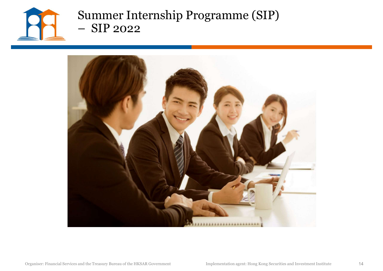

### Summer Internship Programme (SIP) Summer Internship Programm<br>– SIP 2022<br>–

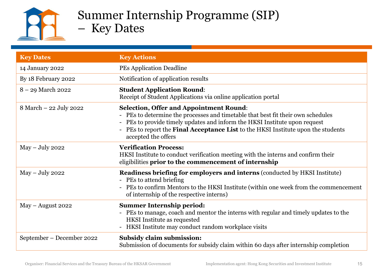

### Summer Internship Programme (SIP) Summer Internship Programm<br>- Key Dates<br>Key Actions

|                           | <b>Key Dates</b>                                                                                                                                                                                                                                                                                                             |
|---------------------------|------------------------------------------------------------------------------------------------------------------------------------------------------------------------------------------------------------------------------------------------------------------------------------------------------------------------------|
| <b>Key Dates</b>          | <b>Key Actions</b>                                                                                                                                                                                                                                                                                                           |
| 14 January 2022           | <b>PEs Application Deadline</b>                                                                                                                                                                                                                                                                                              |
| By 18 February 2022       | Notification of application results                                                                                                                                                                                                                                                                                          |
| $8 - 29$ March 2022       | <b>Student Application Round:</b><br>Receipt of Student Applications via online application portal                                                                                                                                                                                                                           |
| 8 March – 22 July 2022    | <b>Selection, Offer and Appointment Round:</b><br>- PEs to determine the processes and timetable that best fit their own schedules<br>- PEs to provide timely updates and inform the HKSI Institute upon request<br>- PEs to report the Final Acceptance List to the HKSI Institute upon the students<br>accepted the offers |
| $May - July 2022$         | <b>Verification Process:</b><br>HKSI Institute to conduct verification meeting with the interns and confirm their<br>eligibilities prior to the commencement of internship                                                                                                                                                   |
| $May - July 2022$         | <b>Readiness briefing for employers and interns (conducted by HKSI Institute)</b><br>- PEs to attend briefing<br>PEs to confirm Mentors to the HKSI Institute (within one week from the commencement<br>of internship of the respective interns)                                                                             |
| $May - August 2022$       | <b>Summer Internship period:</b><br>- PEs to manage, coach and mentor the interns with regular and timely updates to the<br><b>HKSI</b> Institute as requested<br>HKSI Institute may conduct random workplace visits                                                                                                         |
| September – December 2022 | Subsidy claim submission:<br>Submission of documents for subsidy claim within 60 days after internship completion                                                                                                                                                                                                            |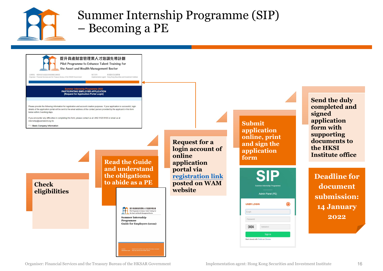

### Summer Internship Programme (SIP) Summer Internship Programme (1)<br>- Becoming a PE

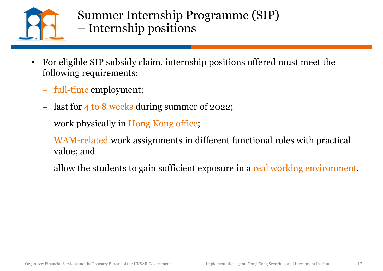

- Summer Internship Programme (SIP)<br>— Internship positions Summer Internship Programme (<br>– Internship positions<br>de <sup>SIR</sup>subsidualsim, internaling assitions of
- For eligible SIP subsidy claim, internship positions offered must meet the following requirements:
	- full-time employment;
	- last for 4 to 8 weeks during summer of 2022;
	- work physically in Hong Kong office;
- Value; and<br>
 allow the students to gain sufficient exposure in a real working environment.<br>
 Corganiser: Financial Services and the Treasury Bureau of the HKSAR Government<br>
 Implementation agent: Hong Kong Securities an WAM-related work assignments in different functional roles with practical value; and
	- allow the students to gain sufficient exposure in a real working environment.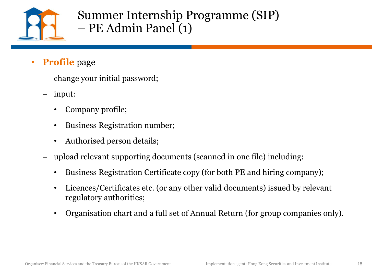

# Summer Internship Programme (SIP)<br>– PE Admin Panel (1) Summer Internship Programm<br>– PE Admin Panel (1)<br>–

- **Profile** page
	- change your initial password;
	- input:
		- Company profile;
		- Business Registration number;
		-
- PE Admin Panel (1)<br>
 Company profile;<br>
 Company profile;<br>
 Business Registration number;<br>
 Authorised person details;<br>
 upload relevant supporting documents (scanned in one file) including:<br>
 Business Registration
	-
- upload relevant supporting documents (scanned in one file) including:<br>
∙ Business Registration Certificates copy (for both PE and hiring company);<br>
∙ Licences/Certificates etc. (or any other valid documents) issued by r • Licences/Certificates etc. (or any other valid documents) issued by relevant regulatory authorities;
	- Organisation chart and a full set of Annual Return (for group companies only).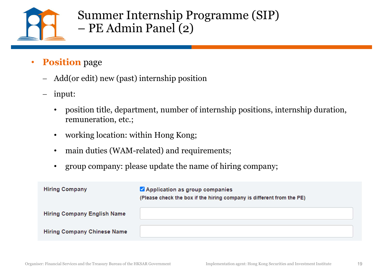

### Summer Internship Programme (SIP) Summer Internship Programme<br>– PE Admin Panel (2)<br>–

- **Position** page
	- Add(or edit) new (past) internship position
	- input:
		- position title, department, number of internship positions, internship duration, remuneration, etc.;
		- working location: within Hong Kong;
		- main duties (WAM-related) and requirements;
		- group company: please update the name of hiring company;

| <b>Hiring Company</b>              | Application as group companies<br>(Please check the box if the hiring company is different from the PE) |  |
|------------------------------------|---------------------------------------------------------------------------------------------------------|--|
| <b>Hiring Company English Name</b> |                                                                                                         |  |
| <b>Hiring Company Chinese Name</b> |                                                                                                         |  |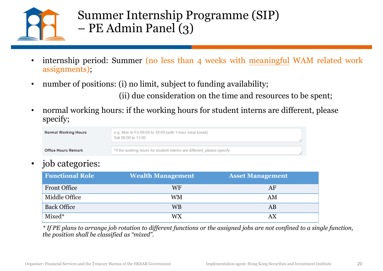

### Summer Internship Programme (SIP) Summer Internship Programme<br>
– PE Admin Panel (3)<br>
period: Summer (po less than 4 weeks with

- Summer Internship Programme (SIP)<br>
 PE Admin Panel (3)<br>
 internship period: Summer (no less than 4 weeks with <u>meaningful</u> WAM related work<br>
 number of positions: (i) no limit, subject to funding availability; assignments); • The Admin Panel (3)<br>• The Admin Panel (3)<br>• internship period: Summer (no less than 4 weeks with <u>meaningful</u> WAM related work<br><sup>assignments);<br>• number of positions: (i) no limit, subject to funding availability;<br>(ii) due</sup> (ii) due consideration on the time and resources to be spent; • normal working hours: if the working hours for student interns are different, please
- 

| <b>Normal Working Hours</b> | e.g. Mon to Fri 09:00 to 18:00 (with 1-hour meal break)<br>Sat 09:00 to 13:00 |  |
|-----------------------------|-------------------------------------------------------------------------------|--|
| <b>Office Hours Remark</b>  | *If the working hours for student interns are different, please specify       |  |

### • job categories:

|                             | number of positions: (i) no limit, subject to funding availability;                  | (ii) due consideration on the time and resources to be spent; |  |
|-----------------------------|--------------------------------------------------------------------------------------|---------------------------------------------------------------|--|
| specify;                    | normal working hours: if the working hours for student interns are different, please |                                                               |  |
| <b>Normal Working Hours</b> | e.g. Mon to Fri 09:00 to 18:00 (with 1-hour meal break)<br>Sat 09:00 to 13:00        |                                                               |  |
| <b>Office Hours Remark</b>  | *If the working hours for student interns are different, please specify              |                                                               |  |
| job categories:             |                                                                                      |                                                               |  |
| <b>Functional Role</b>      | <b>Wealth Management</b>                                                             | <b>Asset Management</b>                                       |  |
| <b>Front Office</b>         | <b>WF</b>                                                                            | AF                                                            |  |
| Middle Office               | <b>WM</b>                                                                            | AM                                                            |  |
| <b>Back Office</b>          | <b>WB</b>                                                                            | AB                                                            |  |
| Mixed*                      | <b>WX</b>                                                                            | AX                                                            |  |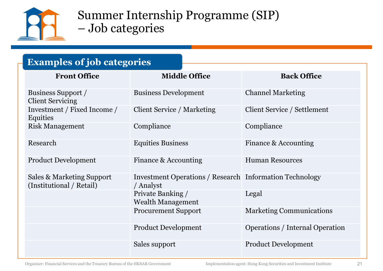

### Summer Internship Programme (SIP) Summer Internship Programn<br>– Job categories<br>- Sieh externists

### Examples of job categories

| <b>Examples of job categories</b>                     |                                                                             |                                        |
|-------------------------------------------------------|-----------------------------------------------------------------------------|----------------------------------------|
| <b>Front Office</b>                                   | <b>Middle Office</b>                                                        | <b>Back Office</b>                     |
| Business Support /<br><b>Client Servicing</b>         | <b>Business Development</b>                                                 | <b>Channel Marketing</b>               |
| Investment / Fixed Income /<br>Equities               | Client Service / Marketing                                                  | Client Service / Settlement            |
| <b>Risk Management</b>                                | Compliance                                                                  | Compliance                             |
| Research                                              | <b>Equities Business</b>                                                    | Finance & Accounting                   |
| <b>Product Development</b>                            | Finance & Accounting                                                        | <b>Human Resources</b>                 |
| Sales & Marketing Support<br>(Institutional / Retail) | <b>Investment Operations / Research Information Technology</b><br>/ Analyst |                                        |
|                                                       | Private Banking /<br><b>Wealth Management</b>                               | Legal                                  |
|                                                       | <b>Procurement Support</b>                                                  | <b>Marketing Communications</b>        |
|                                                       | <b>Product Development</b>                                                  | <b>Operations / Internal Operation</b> |
|                                                       | Sales support                                                               | <b>Product Development</b>             |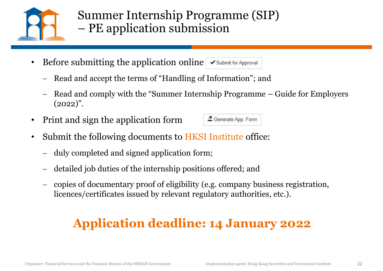

# Summer Internship Programme (SIP)<br>– PE application submission Summer Internship Programme (SIP)<br>– PE application submission

- Before submitting the application online  $\triangledown$  submit for Approval
	- Read and accept the terms of "Handling of Information"; and
- **EXECUTE:**<br>  $\begin{aligned}\n\text{Number of the application and the application of the image is a specific value of the provided by the provided HTML representation is a specific value of the image.} \\
\text{Figure 2.1:} \end{aligned}$ Fig. 2022).<br>  $\begin{aligned}\n\text{Example 3:} \end{aligned}$ Fig. 2022).<br>  $\begin{aligned}\n\text{Example 4:} \end{aligned}$ Fig. 2022).<br>  $\begin{aligned}\n\text{Example 5:} \end{aligned}$  $(2022)$ ".
- Print and sign the application form  $\blacksquare$  Generate App. Form

- Submit the following documents to HKSI Institute office:
	- duly completed and signed application form;
	- detailed job duties of the internship positions offered; and
- duly completed and signed application form;<br>
 detailed job duties of the internship positions offered; and<br>
 copies of documentary proof of eligibility (e.g. company business registration,<br>
licences/certificates issued copies of documentary proof of eligibility (e.g. company business registration, licences/certificates issued by relevant regulatory authorities, etc.).

### Application deadline: 14 January 2022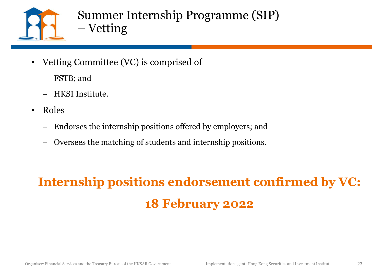

# Summer Internship Programme (SIP) Summer Internship Programn<br>– Vetting<br>Summittee (VC) is commised of

- Vetting Committee (VC) is comprised of
	- FSTB; and
	- HKSI Institute.
- Roles
	- Endorses the internship positions offered by employers; and
	- Oversees the matching of students and internship positions.

### Internship positions endorsement confirmed by VC:<br>18 February 2022<br><sub>Organiser: Financial Services and the Treasury Bureau of the HKSAR Government</sub> Implementation agent: Hong Kong Securities and Investment Institute 23 Internship positions endorsement confirmed by VC: 18 February 2022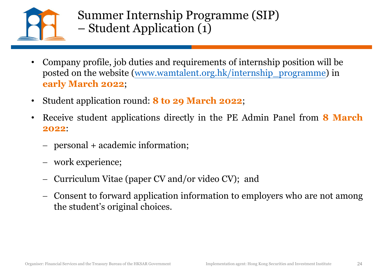

- Summer Internship Programme (SIP) Summer Internship Programme (S<br>
– Student Application (1)<br>
– Student Application (1)
- Company profile, job duties and requirements of internship position will be posted on the website (www.wamtalent.org.hk/internship\_programme) in early March 2022; • Company profile, job duties and requirements of internship position will be<br>
• Company profile, job duties and requirements of internship position will be<br>
posted on the website (www.wamtalent.org.hk/internship\_programme Framework experience;<br>
Framework of internship position will be<br>
posted on the website (www.wantalent.org.hk/internship\_programme) in<br> **early March 2022;**<br>
Student application round: **8 to 29 March 2022;**<br>
Receive student
- Student application round: 8 to 29 March 2022;
- 2022: early March 2022;<br>Student application round: 8 to 29 March 2022;<br>Receive student applications directly in the PE Admin Panel from 8 March<br>2022:<br>— personal + academic information;<br>— work experience;<br>— Curriculum Vitae (pape ndent application round: <mark>8 to 29 March 2022</mark>;<br>ceive student applications directly in the PE Admin Pane<br>22:<br>personal + academic information;<br>work experience;<br>Curriculum Vitae (paper CV and/or video CV); and<br>Consent to forw
	-
	-
	-
- personal + academic information;<br>- Curriculum Vitae (paper CV and/or video CV); and<br>- Consent to forward application information to employers who are not among<br>the student's original choices.<br>-<br>-<br>-<br>-<br>-<br>-<br>-<br>-<br>-<br>-<br>-<br>-<br>-<br>-<br>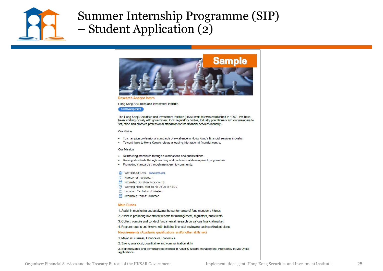

### Summer Internship Programme (SIP) Summer Internship Programn<br>
– Student Application (2)



**Research Analyst Intern** 

Hong Kong Securities and Investment Institute

### **Asset Management**

The Hong Kong Securities and Investment Institute (HKSI Institute) was established in 1997. We have been working closely with government, local regulatory bodies, industry practitioners and our members to set, raise and promote professional standards for the financial services industry.

### **Our Vision**

- . To champion professional standards of excellence in Hong Kong's financial services industry.
- . To contribute to Hong Kong's role as a leading international financial centre.

- 
- 
- 

- 
- 
- 
- 
- 

- 
- 
- 
- 

- 
- 
- Or Rainier and the Treasury Bureau of the HKSAR Government<br>
Consideration and the HKSAR Government Implementation and the Treasury Bureau of the Treasury Bureau of Federation<br>
(a) Words Financial Securities and the Treasu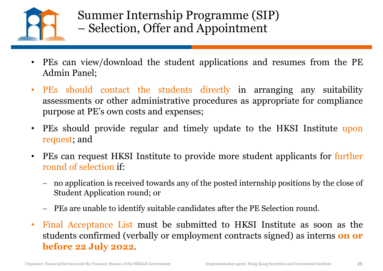

- PES can view/download the students applications and resumes from the PE<br>
 PES can view/download the student applications and resumes from the PE<br>
 PES should contact the students directly in arranging any suitability
- PES can view/download the student applications and resumes from the PE<br>
 PES can view/download the student applications and resumes from the PE<br>
 PES should contact the students directly in arranging any suitability<br>
s Summer Internship Programme (SIP)<br>
- Selection, Offer and Appointment<br>
PEs can view/download the student applications and resumes from the PE<br>
Admin Panel;<br>
PEs should contact the students directly in arranging any suitabi Summer Internship Programme (SIP)<br>
- Selection, Offer and Appointment<br>
PEs can view/download the student applications and resumes f<br>
Admin Panel;<br>
PEs should contact the students directly in arranging any<br>
assessments or o • PEs can view/download the student applications and resumes from the PE<br>
• PEs can view/download the student applications and resumes from the PE<br>
• PEs should contact the students directly in arranging any suitability<br>
• - Selection, Offer and Appoi<br>
PEs can view/download the student applica<br>
Admin Panel;<br>
PEs should contact the students directl<br>
assessments or other administrative procedur<br>
purpose at PE's own costs and expenses;<br>
PEs sho • PEs can view/download the student applications and resumes from the PE<br> **Admin Panel**;<br>
• PEs should contact the students directly in arranging any suitability<br>
assessments or other administrative procedures as appropria PEs can view/download the student applications and resumes from the PE<br>Admin Panel;<br>PEs should contact the students directly in arranging any suitability<br>assessments or other administrative procedures as appropriate for co FEs should contact the students directly in arranging any suitability<br>assessments or other administrative procedures as appropriate for compliance<br>purpose at PE's own costs and expenses;<br>PEs should provide regular and time
- 
- -
	-
- PEs can request HKSI Institute to provide more student applicants for further round of selection if:<br>
 no application is received towards any of the posted internship positions by the close of Student Application roun purpose at PE's own costs and expenses;<br>
• PEs should provide regular and timely update to the HKSI Institute upon<br>
request; and<br>
• PEs can request HKSI Institute to provide more student applicants for further<br>
round of s **PES** should provide regular and timely update to the HKSI Institute upon<br>
PEs can request HKSI Institute to provide more student applicants for further<br>
round of selection if:<br>
— no application is received towards any of Figures 22 July 2022.<br>
Figures and the Transit Exception if:<br>
- no application is received towards any of the posted internship positions by the close of<br>
Student Application round; or<br>
- PEs are unable to identify suitab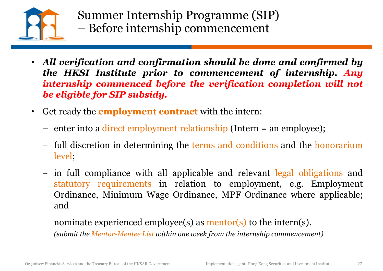

- Summer Internship Programme (SIP)<br>
 Before internship commencement<br>
MIVE verification and confirmation should be done and confirmed by<br>
the HKSI Institute prior to commencement of internship. Any<br>
internship commenced bef Summer Internship Programme (SIP)<br>- Before internship commencement<br>All verification and confirmation should be done and confirmed by<br>the HKSI Institute prior to commencement of internship. Any<br>internship commenced before t Summer Internship Programme (SIP)<br>
- Before internship commencement<br>
All verification and confirmation should be done and confirmed by<br>
the HKSI Institute prior to commencement of internship. Any<br>
internship commenced befo Summer Internship Programme (SIP)<br>
- Before internship commencement<br>
All verification and confirmation should be done<br>
the HKSI Institute prior to commencement of<br>
internship commenced before the verification co<br>
be eligib • Get ready the employment relationship (SIP)<br>
• Before internship commencement<br>
• All verification and confirmation should be done and confirmed by<br>
the HKSI Institute prior to commencement of internship. Any<br>
internship Summer Internship Programme (SIP)<br>
- Before internship commencement<br>
All verification and confirmation should be done and confirmed by<br>
the HKSI Institute prior to commencement of internship. Any<br>
internship commenced bef All verification and confirmation should be done and confirmed by<br>
the HKSI Institute prior to commencement of internship. Any<br>
internship commenced before the verification completion will not<br>
be eligible for SIP subsidy.
- -
	- level;
- In full compliance with all applicable and relevant legal obligations and statutory requirements in relation to employment, e.g. Employment Ordinance, Minimum Wage Ordinance, MPF Ordinance where applicable; and<br>- nominat **EXECUTE: EXECUTE: EXECUTE: EXECUTE: EXECUTE: EXECUTE: EXECUTE: EXECUTE: EXECUTE: EXECUTE: EXECUTE: EXECUTE: EXECUTE: EXECUTE: EXECUTE: CONOCYTE: EXECUTE: CONOCYTE: EXECUTE: CONOCYTE: Example 12 Except of Except Commenced before the verification completion will not**<br> **eligible for SIP subsidy.**<br> **Comment Contract** with the intern:<br>
enter into a direct employment relationship (Intern = an employee);<br>
fu and Get ready the **employment contract** with the intern:<br>
— enter into a direct employment relationship (Intern = an employee);<br>
— full discretion in determining the terms and conditions and the honorarium<br>
level;<br>
— in full c enter into a direct employment relationship (Intern = an employee);<br>full discretion in determining the terms and conditions and the honorarium<br>level;<br>in full compliance with all applicable and relevant legal obligations an
	-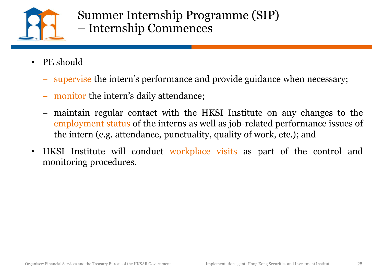

- -
	-
- Summer Internship Programme (SIP)<br>
 Internship Commences<br>
PE should<br>
 supervise the intern's performance and provide guidance when necessary;<br>
 monitor the intern's daily attendance;<br>
 maintain regular contact with the Summer Internship Programme (SIP)<br>
— Internship Commences<br>
should<br>
supervise the intern's performance and provide guidance when necessary;<br>
monitor the intern's daily attendance;<br>
maintain regular contact with the HKSI Ins Forther internally a registrative (e.g.  $\frac{1}{2}$  - Internship Commences<br>
should<br>
supervise the intern's performance and provide guidance when necessary;<br>
monitor the intern's daily attendance;<br>
maintain regular contact wi • PE should<br>
• supervise the intern's performance and provide guidance when necessary;<br>
• monitor the intern's daily attendance;<br>
• maintain regular contact with the HKSI Institute on any changes to the<br>
<u>employment status</u> PE should<br>
— supervise the intern's performance and provid<br>
— monitor the intern's daily attendance;<br>
— maintain regular contact with the HKSI Ins<br>
<u>employment status</u> of the interns as well as job<br>
the intern (e.g. attend
- Organiser: Financial Services and the Treasury Bureau of the HKSAR Government Implementation agent: Hong Kong Securities and Investment Institute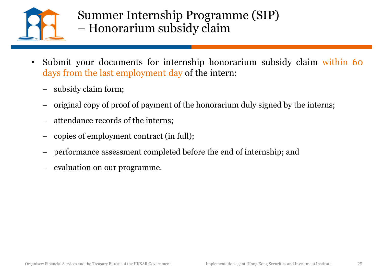

- Submit your documents for internship honorarium subsidy claim<br>• Submit your documents for internship honorarium subsidy claim within 60<br>• subsidy claim form;<br>• subsidy claim form; Summer Internship Programme (SIP)<br>
— Honorarium subsidy claim<br>
Submit your documents for internship honorarium subsidy claim within 60<br>
days from the last employment day of the intern:<br>
— subsidy claim form;<br>
— original co Submit your documents for internship honorarium st<br>days from the last employment day of the intern:<br>- subsidy claim form;<br>- original copy of proof of payment of the honorarium duly sig<br>- original copy of proof of payment o
	-
	-
	-
	-
- performance assessment completed before the end of internship; and<br>
 evaluation on our programme.<br>
 Corganiser: Financial Services and the Treasury Bureau of the HKSAR Government Institute<br>
 Implementation agent: Hong
	-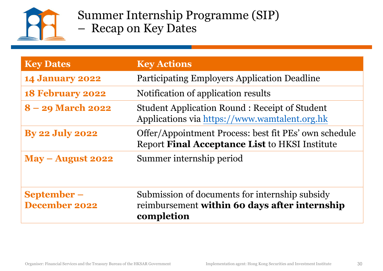

- Summer Internship Programme (SIP)<br>- Recap on Key Dates Summer Internship Programme (<br>- Recap on Key Dates
- 

|                                      | Summer Internship Programme (SIP)<br>- Recap on Key Dates                                                     |
|--------------------------------------|---------------------------------------------------------------------------------------------------------------|
| <b>Key Dates</b>                     | <b>Key Actions</b>                                                                                            |
| <b>14 January 2022</b>               | <b>Participating Employers Application Deadline</b>                                                           |
| <b>18 February 2022</b>              | Notification of application results                                                                           |
| 8 - 29 March 2022                    | <b>Student Application Round: Receipt of Student</b><br>Applications via https://www.wamtalent.org.hk         |
| <b>By 22 July 2022</b>               | Offer/Appointment Process: best fit PEs' own schedule<br>Report Final Acceptance List to HKSI Institute       |
| $May - August 2022$                  | Summer internship period                                                                                      |
| $September-$<br><b>December 2022</b> | Submission of documents for internship subsidy<br>reimbursement within 60 days after internship<br>completion |